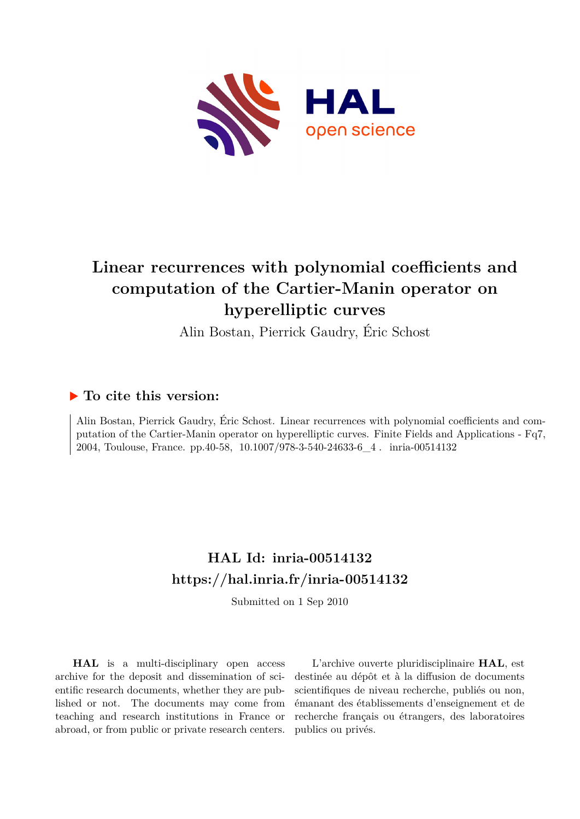

# **Linear recurrences with polynomial coefficients and computation of the Cartier-Manin operator on hyperelliptic curves**

Alin Bostan, Pierrick Gaudry, Éric Schost

# **To cite this version:**

Alin Bostan, Pierrick Gaudry, Éric Schost. Linear recurrences with polynomial coefficients and computation of the Cartier-Manin operator on hyperelliptic curves. Finite Fields and Applications - Fq7, 2004, Toulouse, France. pp.40-58, 10.1007/978-3-540-24633-6\_4. inria-00514132

# **HAL Id: inria-00514132 <https://hal.inria.fr/inria-00514132>**

Submitted on 1 Sep 2010

**HAL** is a multi-disciplinary open access archive for the deposit and dissemination of scientific research documents, whether they are published or not. The documents may come from teaching and research institutions in France or abroad, or from public or private research centers.

L'archive ouverte pluridisciplinaire **HAL**, est destinée au dépôt et à la diffusion de documents scientifiques de niveau recherche, publiés ou non, émanant des établissements d'enseignement et de recherche français ou étrangers, des laboratoires publics ou privés.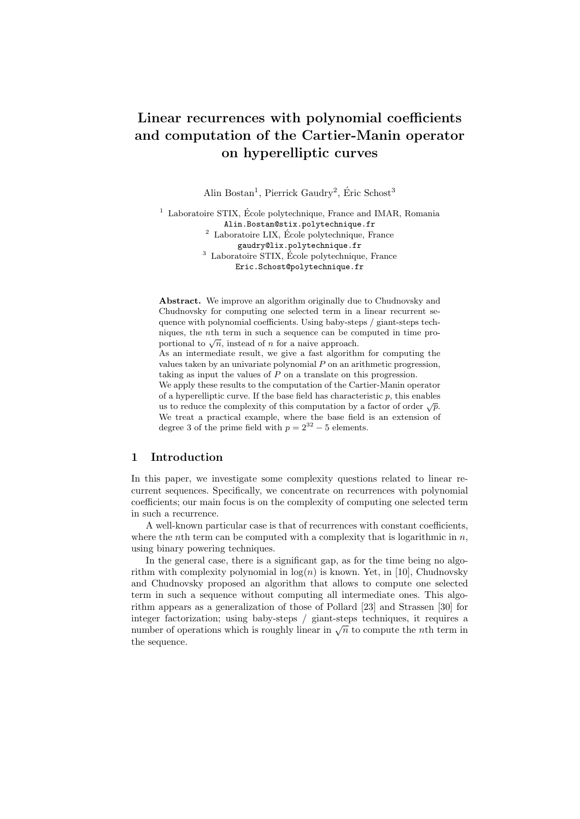# Linear recurrences with polynomial coefficients and computation of the Cartier-Manin operator on hyperelliptic curves

Alin Bostan<sup>1</sup>, Pierrick Gaudry<sup>2</sup>, Éric Schost<sup>3</sup>

<sup>1</sup> Laboratoire STIX, École polytechnique, France and IMAR, Romania Alin.Bostan@stix.polytechnique.fr  $^2\,$  Laboratoire LIX, École polytechnique, France gaudry@lix.polytechnique.fr  $^3$  Laboratoire STIX, École polytechnique, France Eric.Schost@polytechnique.fr

Abstract. We improve an algorithm originally due to Chudnovsky and Chudnovsky for computing one selected term in a linear recurrent sequence with polynomial coefficients. Using baby-steps / giant-steps techniques, the nth term in such a sequence can be computed in time promques, the *n*th term in such a sequence can be constrained to  $\sqrt{n}$ , instead of *n* for a naive approach. As an intermediate result, we give a fast algorithm for computing the values taken by an univariate polynomial  $P$  on an arithmetic progression, taking as input the values of P on a translate on this progression. We apply these results to the computation of the Cartier-Manin operator of a hyperelliptic curve. If the base field has characteristic  $p$ , this enables us to reduce the complexity of this computation by a factor of order  $\sqrt{p}$ . We treat a practical example, where the base field is an extension of degree 3 of the prime field with  $p = 2^{32} - 5$  elements.

# 1 Introduction

In this paper, we investigate some complexity questions related to linear recurrent sequences. Specifically, we concentrate on recurrences with polynomial coefficients; our main focus is on the complexity of computing one selected term in such a recurrence.

A well-known particular case is that of recurrences with constant coefficients, where the *n*th term can be computed with a complexity that is logarithmic in  $n$ , using binary powering techniques.

In the general case, there is a significant gap, as for the time being no algorithm with complexity polynomial in  $log(n)$  is known. Yet, in [10], Chudnovsky and Chudnovsky proposed an algorithm that allows to compute one selected term in such a sequence without computing all intermediate ones. This algorithm appears as a generalization of those of Pollard [23] and Strassen [30] for integer factorization; using baby-steps / giant-steps techniques, it requires a integer factorization; using baby-steps / giant-steps techniques, it requires a<br>number of operations which is roughly linear in  $\sqrt{n}$  to compute the *n*th term in the sequence.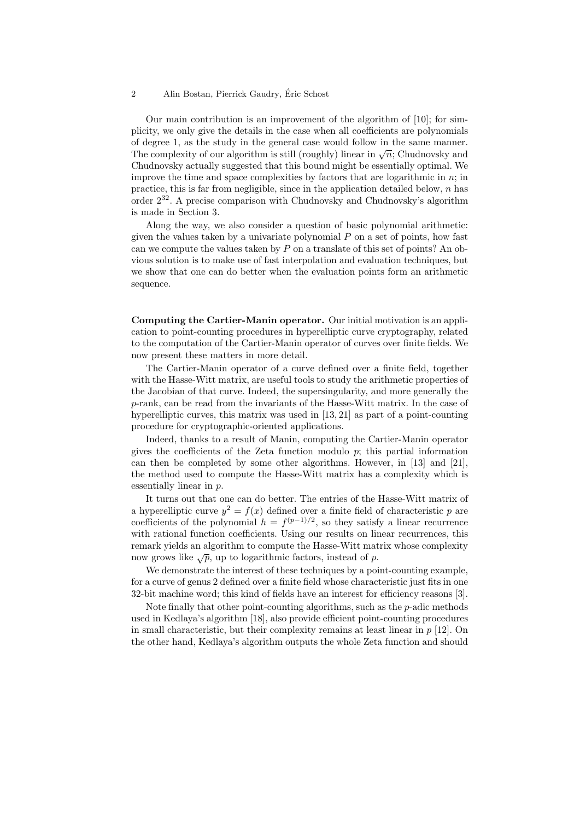Our main contribution is an improvement of the algorithm of [10]; for simplicity, we only give the details in the case when all coefficients are polynomials of degree 1, as the study in the general case would follow in the same manner. of degree 1, as the study in the general case would follow in the same manner.<br>The complexity of our algorithm is still (roughly) linear in  $\sqrt{n}$ ; Chudnovsky and Chudnovsky actually suggested that this bound might be essentially optimal. We improve the time and space complexities by factors that are logarithmic in  $n$ ; in practice, this is far from negligible, since in the application detailed below,  $n$  has order 2<sup>32</sup>. A precise comparison with Chudnovsky and Chudnovsky's algorithm is made in Section 3.

Along the way, we also consider a question of basic polynomial arithmetic: given the values taken by a univariate polynomial  $P$  on a set of points, how fast can we compute the values taken by  $P$  on a translate of this set of points? An obvious solution is to make use of fast interpolation and evaluation techniques, but we show that one can do better when the evaluation points form an arithmetic sequence.

Computing the Cartier-Manin operator. Our initial motivation is an application to point-counting procedures in hyperelliptic curve cryptography, related to the computation of the Cartier-Manin operator of curves over finite fields. We now present these matters in more detail.

The Cartier-Manin operator of a curve defined over a finite field, together with the Hasse-Witt matrix, are useful tools to study the arithmetic properties of the Jacobian of that curve. Indeed, the supersingularity, and more generally the p-rank, can be read from the invariants of the Hasse-Witt matrix. In the case of hyperelliptic curves, this matrix was used in [13, 21] as part of a point-counting procedure for cryptographic-oriented applications.

Indeed, thanks to a result of Manin, computing the Cartier-Manin operator gives the coefficients of the Zeta function modulo  $p$ ; this partial information can then be completed by some other algorithms. However, in [13] and [21], the method used to compute the Hasse-Witt matrix has a complexity which is essentially linear in p.

It turns out that one can do better. The entries of the Hasse-Witt matrix of a hyperelliptic curve  $y^2 = f(x)$  defined over a finite field of characteristic p are coefficients of the polynomial  $h = f^{(p-1)/2}$ , so they satisfy a linear recurrence with rational function coefficients. Using our results on linear recurrences, this remark yields an algorithm to compute the Hasse-Witt matrix whose complexity now grows like  $\sqrt{p}$ , up to logarithmic factors, instead of p.

We demonstrate the interest of these techniques by a point-counting example, for a curve of genus 2 defined over a finite field whose characteristic just fits in one 32-bit machine word; this kind of fields have an interest for efficiency reasons [3].

Note finally that other point-counting algorithms, such as the  $p$ -adic methods used in Kedlaya's algorithm [18], also provide efficient point-counting procedures in small characteristic, but their complexity remains at least linear in  $p$  [12]. On the other hand, Kedlaya's algorithm outputs the whole Zeta function and should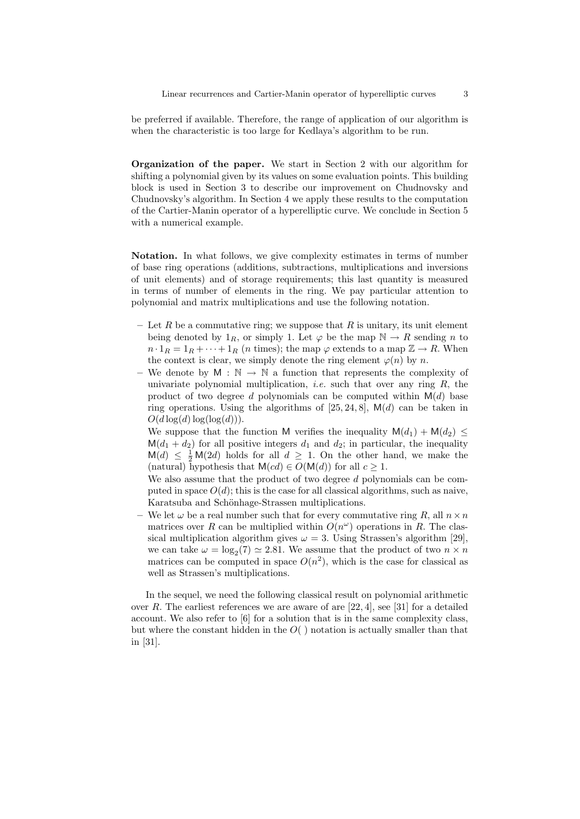be preferred if available. Therefore, the range of application of our algorithm is when the characteristic is too large for Kedlaya's algorithm to be run.

Organization of the paper. We start in Section 2 with our algorithm for shifting a polynomial given by its values on some evaluation points. This building block is used in Section 3 to describe our improvement on Chudnovsky and Chudnovsky's algorithm. In Section 4 we apply these results to the computation of the Cartier-Manin operator of a hyperelliptic curve. We conclude in Section 5 with a numerical example.

Notation. In what follows, we give complexity estimates in terms of number of base ring operations (additions, subtractions, multiplications and inversions of unit elements) and of storage requirements; this last quantity is measured in terms of number of elements in the ring. We pay particular attention to polynomial and matrix multiplications and use the following notation.

- Let  $R$  be a commutative ring; we suppose that  $R$  is unitary, its unit element being denoted by  $1_R$ , or simply 1. Let  $\varphi$  be the map  $\mathbb{N} \to R$  sending n to  $n \cdot 1_R = 1_R + \cdots + 1_R$  (*n* times); the map  $\varphi$  extends to a map  $\mathbb{Z} \to R$ . When the context is clear, we simply denote the ring element  $\varphi(n)$  by n.
- We denote by  $M : \mathbb{N} \to \mathbb{N}$  a function that represents the complexity of univariate polynomial multiplication, *i.e.* such that over any ring  $R$ , the product of two degree d polynomials can be computed within  $M(d)$  base ring operations. Using the algorithms of  $[25, 24, 8]$ ,  $\mathsf{M}(d)$  can be taken in  $O(d \log(d) \log(\log(d)))$ .

We suppose that the function M verifies the inequality  $M(d_1) + M(d_2)$  $M(d_1 + d_2)$  for all positive integers  $d_1$  and  $d_2$ ; in particular, the inequality  $M(d) \leq \frac{1}{2}M(2d)$  holds for all  $d \geq 1$ . On the other hand, we make the (natural) hypothesis that  $M(cd) \in O(M(d))$  for all  $c \geq 1$ .

We also assume that the product of two degree d polynomials can be computed in space  $O(d)$ ; this is the case for all classical algorithms, such as naive, Karatsuba and Schönhage-Strassen multiplications.

We let  $\omega$  be a real number such that for every commutative ring R, all  $n \times n$ matrices over R can be multiplied within  $O(n^{\omega})$  operations in R. The classical multiplication algorithm gives  $\omega = 3$ . Using Strassen's algorithm [29], we can take  $\omega = \log_2(7) \approx 2.81$ . We assume that the product of two  $n \times n$ matrices can be computed in space  $O(n^2)$ , which is the case for classical as well as Strassen's multiplications.

In the sequel, we need the following classical result on polynomial arithmetic over  $R$ . The earliest references we are aware of are  $[22, 4]$ , see  $[31]$  for a detailed account. We also refer to [6] for a solution that is in the same complexity class, but where the constant hidden in the  $O($ ) notation is actually smaller than that in [31].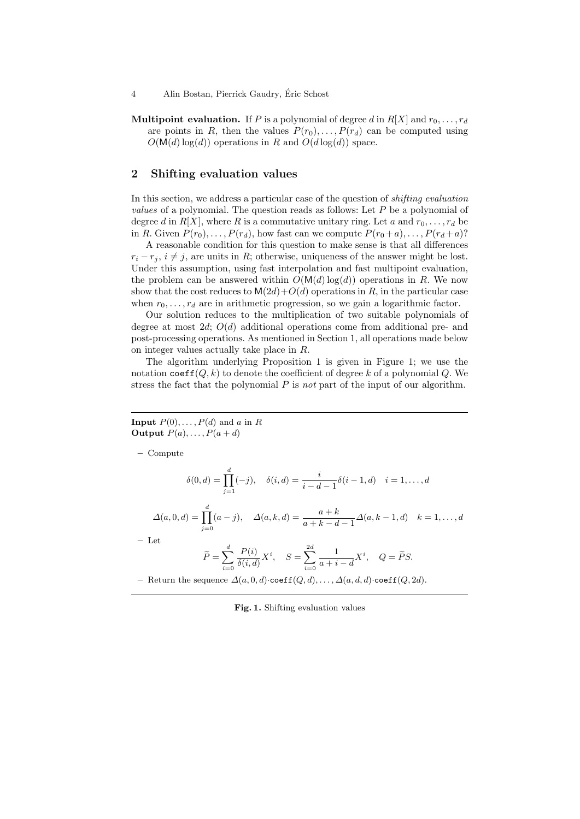**Multipoint evaluation.** If P is a polynomial of degree d in  $R[X]$  and  $r_0, \ldots, r_d$ are points in R, then the values  $P(r_0), \ldots, P(r_d)$  can be computed using  $O(M(d) \log(d))$  operations in R and  $O(d \log(d))$  space.

#### 2 Shifting evaluation values

In this section, we address a particular case of the question of shifting evaluation *values* of a polynomial. The question reads as follows: Let  $P$  be a polynomial of degree d in R[X], where R is a commutative unitary ring. Let a and  $r_0, \ldots, r_d$  be in R. Given  $P(r_0), \ldots, P(r_d)$ , how fast can we compute  $P(r_0 + a), \ldots, P(r_d + a)$ ?

A reasonable condition for this question to make sense is that all differences  $r_i - r_j$ ,  $i \neq j$ , are units in R; otherwise, uniqueness of the answer might be lost. Under this assumption, using fast interpolation and fast multipoint evaluation, the problem can be answered within  $O(M(d) \log(d))$  operations in R. We now show that the cost reduces to  $M(2d) + O(d)$  operations in R, in the particular case when  $r_0, \ldots, r_d$  are in arithmetic progression, so we gain a logarithmic factor.

Our solution reduces to the multiplication of two suitable polynomials of degree at most  $2d$ ;  $O(d)$  additional operations come from additional pre- and post-processing operations. As mentioned in Section 1, all operations made below on integer values actually take place in R.

The algorithm underlying Proposition 1 is given in Figure 1; we use the notation coeff( $Q, k$ ) to denote the coefficient of degree k of a polynomial Q. We stress the fact that the polynomial  $P$  is not part of the input of our algorithm.

**Input**  $P(0), \ldots, P(d)$  and a in R Output  $P(a), \ldots, P(a+d)$ 

– Compute

$$
\delta(0, d) = \prod_{j=1}^{d} (-j), \quad \delta(i, d) = \frac{i}{i - d - 1} \delta(i - 1, d) \quad i = 1, ..., d
$$
  

$$
\Delta(a, 0, d) = \prod_{j=0}^{d} (a - j), \quad \Delta(a, k, d) = \frac{a + k}{a + k - d - 1} \Delta(a, k - 1, d) \quad k = 1, ..., d
$$

– Let

$$
\widetilde{P} = \sum_{i=0}^{d} \frac{P(i)}{\delta(i, d)} X^{i}, \quad S = \sum_{i=0}^{2d} \frac{1}{a + i - d} X^{i}, \quad Q = \widetilde{P}S.
$$

– Return the sequence  $\Delta(a, 0, d) \cdot \text{coeff}(Q, d), \ldots, \Delta(a, d, d) \cdot \text{coeff}(Q, 2d)$ .

Fig. 1. Shifting evaluation values

<sup>4</sup> Alin Bostan, Pierrick Gaudry, Eric Schost ´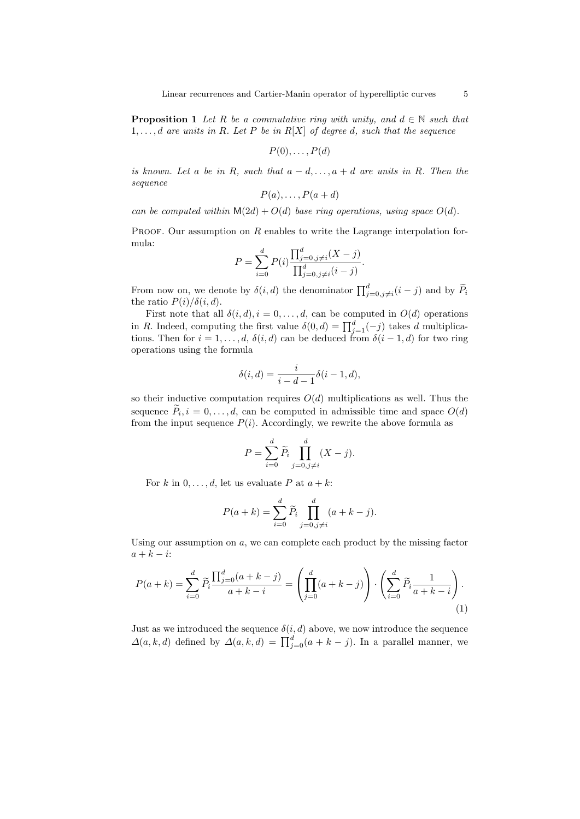**Proposition 1** Let R be a commutative ring with unity, and  $d \in \mathbb{N}$  such that  $1, \ldots, d$  are units in R. Let P be in R[X] of degree d, such that the sequence

$$
P(0), \ldots, P(d)
$$

is known. Let a be in R, such that  $a-d,\ldots,a+d$  are units in R. Then the sequence

$$
P(a),\ldots,P(a+d)
$$

can be computed within  $M(2d) + O(d)$  base ring operations, using space  $O(d)$ .

**PROOF.** Our assumption on R enables to write the Lagrange interpolation formula:

$$
P = \sum_{i=0}^{d} P(i) \frac{\prod_{j=0, j \neq i}^{d} (X - j)}{\prod_{j=0, j \neq i}^{d} (i - j)}.
$$

From now on, we denote by  $\delta(i, d)$  the denominator  $\prod_{j=0, j\neq i}^{d} (i - j)$  and by  $\widetilde{P}_i$ the ratio  $P(i)/\delta(i, d)$ .

First note that all  $\delta(i, d), i = 0, \ldots, d$ , can be computed in  $O(d)$  operations in R. Indeed, computing the first value  $\delta(0, d) = \prod_{j=1}^{d}(-j)$  takes d multiplications. Then for  $i = 1, \ldots, d, \delta(i, d)$  can be deduced from  $\delta(i - 1, d)$  for two ring operations using the formula

$$
\delta(i, d) = \frac{i}{i - d - 1} \delta(i - 1, d),
$$

so their inductive computation requires  $O(d)$  multiplications as well. Thus the sequence  $P_i, i = 0, \ldots, d$ , can be computed in admissible time and space  $O(d)$ from the input sequence  $P(i)$ . Accordingly, we rewrite the above formula as

$$
P = \sum_{i=0}^{d} \widetilde{P}_i \prod_{j=0, j \neq i}^{d} (X - j).
$$

For k in  $0, \ldots, d$ , let us evaluate P at  $a + k$ :

$$
P(a + k) = \sum_{i=0}^{d} \widetilde{P}_i \prod_{j=0, j \neq i}^{d} (a + k - j).
$$

Using our assumption on  $a$ , we can complete each product by the missing factor  $a + k - i$ 

$$
P(a+k) = \sum_{i=0}^{d} \widetilde{P}_i \frac{\prod_{j=0}^{d} (a+k-j)}{a+k-i} = \left(\prod_{j=0}^{d} (a+k-j)\right) \cdot \left(\sum_{i=0}^{d} \widetilde{P}_i \frac{1}{a+k-i}\right). \tag{1}
$$

Just as we introduced the sequence  $\delta(i, d)$  above, we now introduce the sequence  $\Delta(a, k, d)$  defined by  $\Delta(a, k, d) = \prod_{j=0}^{d} (a + k - j)$ . In a parallel manner, we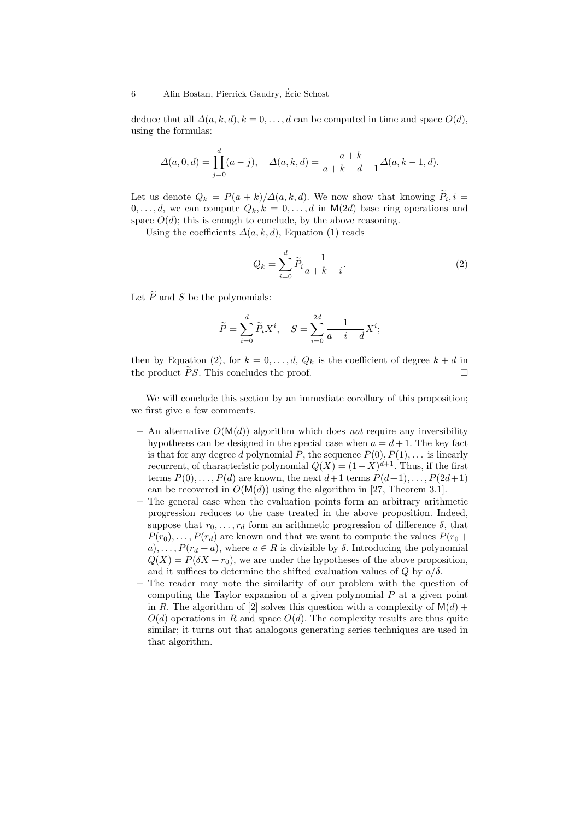deduce that all  $\Delta(a, k, d), k = 0, \ldots, d$  can be computed in time and space  $O(d)$ , using the formulas:

$$
\Delta(a, 0, d) = \prod_{j=0}^{d} (a - j), \quad \Delta(a, k, d) = \frac{a + k}{a + k - d - 1} \Delta(a, k - 1, d).
$$

Let us denote  $Q_k = P(a+k)/\Delta(a,k,d)$ . We now show that knowing  $P_i, i =$  $0, \ldots, d$ , we can compute  $Q_k, k = 0, \ldots, d$  in  $M(2d)$  base ring operations and space  $O(d)$ ; this is enough to conclude, by the above reasoning.

Using the coefficients  $\Delta(a, k, d)$ , Equation (1) reads

$$
Q_k = \sum_{i=0}^{d} \tilde{P}_i \frac{1}{a+k-i}.
$$
 (2)

Let  $\widetilde{P}$  and S be the polynomials:

$$
\widetilde{P} = \sum_{i=0}^{d} \widetilde{P}_i X^i, \quad S = \sum_{i=0}^{2d} \frac{1}{a+i-d} X^i;
$$

then by Equation (2), for  $k = 0, \ldots, d, Q_k$  is the coefficient of degree  $k + d$  in the product  $\widetilde{P}S$ . This concludes the proof.

We will conclude this section by an immediate corollary of this proposition; we first give a few comments.

- An alternative  $O(M(d))$  algorithm which does not require any inversibility hypotheses can be designed in the special case when  $a = d + 1$ . The key fact is that for any degree d polynomial P, the sequence  $P(0), P(1), \ldots$  is linearly recurrent, of characteristic polynomial  $Q(X) = (1 - X)^{d+1}$ . Thus, if the first terms  $P(0), \ldots, P(d)$  are known, the next  $d+1$  terms  $P(d+1), \ldots, P(2d+1)$ can be recovered in  $O(M(d))$  using the algorithm in [27, Theorem 3.1].
- The general case when the evaluation points form an arbitrary arithmetic progression reduces to the case treated in the above proposition. Indeed, suppose that  $r_0, \ldots, r_d$  form an arithmetic progression of difference  $\delta$ , that  $P(r_0), \ldots, P(r_d)$  are known and that we want to compute the values  $P(r_0 +$  $a)$ , ...,  $P(r_d + a)$ , where  $a \in R$  is divisible by  $\delta$ . Introducing the polynomial  $Q(X) = P(\delta X + r_0)$ , we are under the hypotheses of the above proposition, and it suffices to determine the shifted evaluation values of  $Q$  by  $a/\delta$ .
- The reader may note the similarity of our problem with the question of computing the Taylor expansion of a given polynomial  $P$  at a given point in R. The algorithm of [2] solves this question with a complexity of  $M(d)$  +  $O(d)$  operations in R and space  $O(d)$ . The complexity results are thus quite similar; it turns out that analogous generating series techniques are used in that algorithm.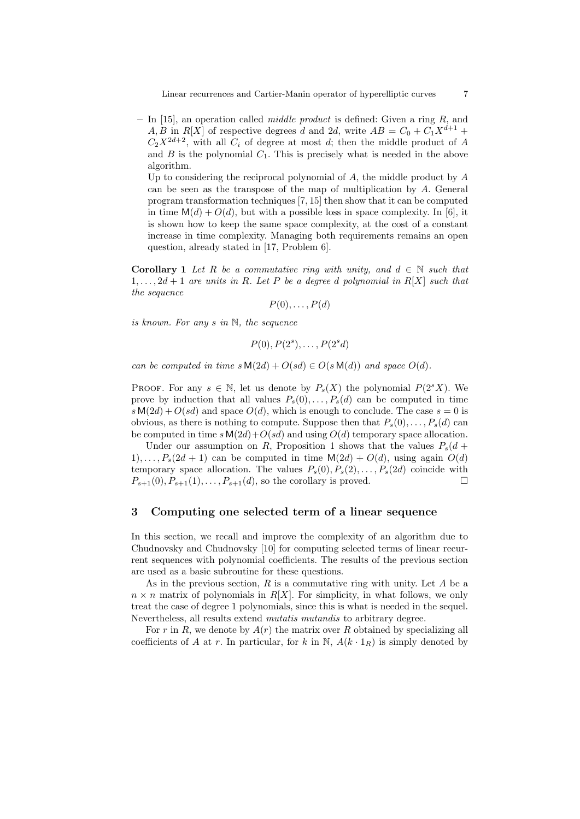Linear recurrences and Cartier-Manin operator of hyperelliptic curves 7

– In [15], an operation called *middle product* is defined: Given a ring R, and A, B in R[X] of respective degrees d and 2d, write  $AB = C_0 + C_1 X^{d+1}$  +  $C_2X^{2d+2}$ , with all  $C_i$  of degree at most d; then the middle product of A and  $B$  is the polynomial  $C_1$ . This is precisely what is needed in the above algorithm.

Up to considering the reciprocal polynomial of  $A$ , the middle product by  $A$ can be seen as the transpose of the map of multiplication by A. General program transformation techniques [7, 15] then show that it can be computed in time  $M(d) + O(d)$ , but with a possible loss in space complexity. In [6], it is shown how to keep the same space complexity, at the cost of a constant increase in time complexity. Managing both requirements remains an open question, already stated in [17, Problem 6].

**Corollary 1** Let R be a commutative ring with unity, and  $d \in \mathbb{N}$  such that  $1, \ldots, 2d+1$  are units in R. Let P be a degree d polynomial in R[X] such that the sequence

$$
P(0),\ldots,P(d)
$$

is known. For any  $s$  in  $\mathbb{N}$ , the sequence

 $P(0), P(2<sup>s</sup>), \ldots, P(2<sup>s</sup>d)$ 

can be computed in time  $s \mathsf{M}(2d) + O(s d) \in O(s \mathsf{M}(d))$  and space  $O(d)$ .

PROOF. For any  $s \in \mathbb{N}$ , let us denote by  $P_s(X)$  the polynomial  $P(2<sup>s</sup>X)$ . We prove by induction that all values  $P_s(0), \ldots, P_s(d)$  can be computed in time  $s \mathsf{M}(2d) + O(\mathfrak{sd})$  and space  $O(\mathfrak{d})$ , which is enough to conclude. The case  $s = 0$  is obvious, as there is nothing to compute. Suppose then that  $P_s(0), \ldots, P_s(d)$  can be computed in time  $s \mathsf{M}(2d) + O(s d)$  and using  $O(d)$  temporary space allocation.

Under our assumption on R, Proposition 1 shows that the values  $P_s(d +$  $1), \ldots, P_s(2d+1)$  can be computed in time  $M(2d) + O(d)$ , using again  $O(d)$ temporary space allocation. The values  $P_s(0), P_s(2), \ldots, P_s(2d)$  coincide with  $P_{s+1}(0), P_{s+1}(1), \ldots, P_{s+1}(d)$ , so the corollary is proved.

## 3 Computing one selected term of a linear sequence

In this section, we recall and improve the complexity of an algorithm due to Chudnovsky and Chudnovsky [10] for computing selected terms of linear recurrent sequences with polynomial coefficients. The results of the previous section are used as a basic subroutine for these questions.

As in the previous section,  $R$  is a commutative ring with unity. Let  $A$  be a  $n \times n$  matrix of polynomials in  $R[X]$ . For simplicity, in what follows, we only treat the case of degree 1 polynomials, since this is what is needed in the sequel. Nevertheless, all results extend mutatis mutandis to arbitrary degree.

For r in R, we denote by  $A(r)$  the matrix over R obtained by specializing all coefficients of A at r. In particular, for k in N,  $A(k \cdot 1_R)$  is simply denoted by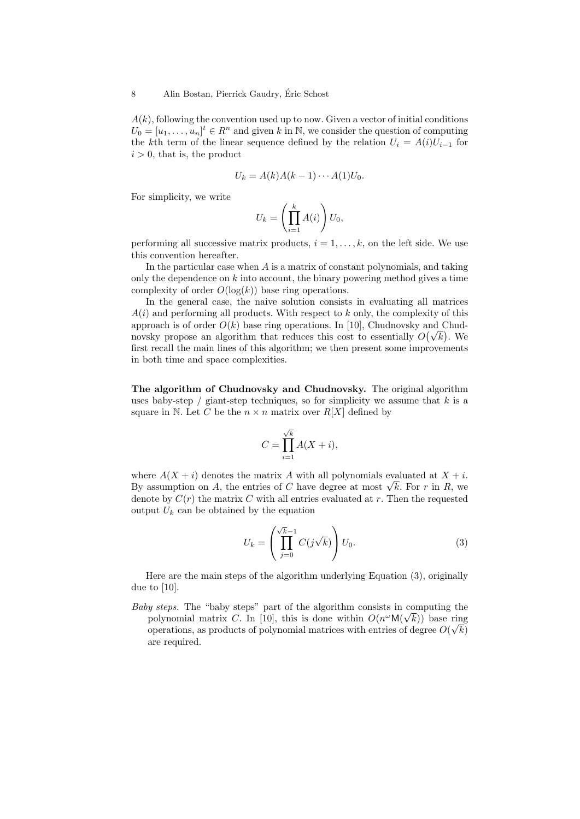$A(k)$ , following the convention used up to now. Given a vector of initial conditions  $U_0 = [u_1, \ldots, u_n]^t \in R^n$  and given k in N, we consider the question of computing the kth term of the linear sequence defined by the relation  $U_i = A(i)U_{i-1}$  for  $i > 0$ , that is, the product

$$
U_k = A(k)A(k-1)\cdots A(1)U_0.
$$

For simplicity, we write

$$
U_k = \left(\prod_{i=1}^k A(i)\right) U_0,
$$

performing all successive matrix products,  $i = 1, \ldots, k$ , on the left side. We use this convention hereafter.

In the particular case when  $A$  is a matrix of constant polynomials, and taking only the dependence on  $k$  into account, the binary powering method gives a time complexity of order  $O(\log(k))$  base ring operations.

In the general case, the naive solution consists in evaluating all matrices  $A(i)$  and performing all products. With respect to k only, the complexity of this approach is of order  $O(k)$  base ring operations. In [10], Chudnovsky and Chudapproach is of order  $O(k)$  base ring operations. In [10], Chudnovsky and Chudnovsky propose an algorithm that reduces this cost to essentially  $O(\sqrt{k})$ . We first recall the main lines of this algorithm; we then present some improvements in both time and space complexities.

The algorithm of Chudnovsky and Chudnovsky. The original algorithm uses baby-step / giant-step techniques, so for simplicity we assume that  $k$  is a square in N. Let C be the  $n \times n$  matrix over  $R[X]$  defined by

$$
C = \prod_{i=1}^{\sqrt{k}} A(X + i),
$$

where  $A(X + i)$  denotes the matrix A with all polynomials evaluated at  $X + i$ . where  $A(X + i)$  denotes the matrix A with all polynomials evaluated at  $X + i$ .<br>By assumption on A, the entries of C have degree at most  $\sqrt{k}$ . For r in R, we denote by  $C(r)$  the matrix C with all entries evaluated at r. Then the requested output  $U_k$  can be obtained by the equation

$$
U_k = \left(\prod_{j=0}^{\sqrt{k}-1} C(j\sqrt{k})\right) U_0.
$$
 (3)

Here are the main steps of the algorithm underlying Equation (3), originally due to [10].

Baby steps. The "baby steps" part of the algorithm consists in computing the polynomial matrix C. In [10], this is done within  $O(n^{\omega}M(\sqrt{k}))$  base ring operations, as products of polynomial matrices with entries of degree  $O(\sqrt{k})$ are required.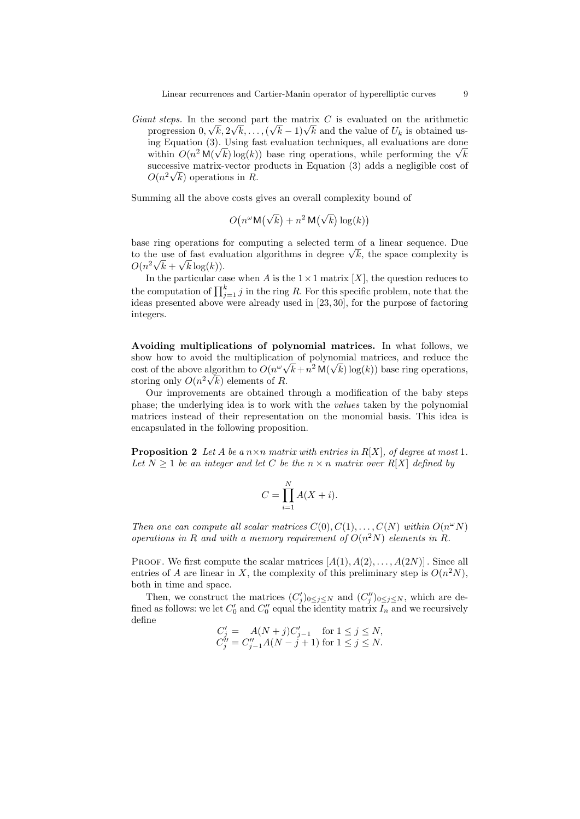Giant steps. In the second part the matrix  $C$  is evaluated on the arithmetic nt steps. In the second part the matrix C is evaluated on the arithmetic progression  $0, \sqrt{k}, 2\sqrt{k}, \ldots, (\sqrt{k}-1)\sqrt{k}$  and the value of  $U_k$  is obtained using Equation (3). Using fast evaluation techniques, all evaluations are done ing Equation (3). Using fast evaluation techniques, all evaluations are done<br>within  $O(n^2 M(\sqrt{k}) \log(k))$  base ring operations, while performing the  $\sqrt{k}$ successive matrix-vector products in Equation  $(3)$  adds a negligible cost of  $O(n^2\sqrt{k})$  operations in R.

Summing all the above costs gives an overall complexity bound of

$$
O(n^{\omega} \mathsf{M}(\sqrt{k}) + n^2 \mathsf{M}(\sqrt{k}) \log(k))
$$

base ring operations for computing a selected term of a linear sequence. Due base ring operations for computing a selected term of a linear sequence. Due<br>to the use of fast evaluation algorithms in degree  $\sqrt{k}$ , the space complexity is  $O(n^2\sqrt{k} + \sqrt{k} \log(k)).$ 

In the particular case when  $A$  is the  $1 \times 1$  matrix  $[X]$ , the question reduces to the computation of  $\prod_{j=1}^{k} j$  in the ring R. For this specific problem, note that the ideas presented above were already used in [23, 30], for the purpose of factoring integers.

Avoiding multiplications of polynomial matrices. In what follows, we show how to avoid the multiplication of polynomial matrices, and reduce the cost of the above algorithm to  $O(n^{\omega}\sqrt{k}+n^2 M(\sqrt{k})\log(k))$  base ring operations, storing only  $O(n^2\sqrt{k})$  elements of R.

Our improvements are obtained through a modification of the baby steps phase; the underlying idea is to work with the values taken by the polynomial matrices instead of their representation on the monomial basis. This idea is encapsulated in the following proposition.

**Proposition 2** Let A be a  $n \times n$  matrix with entries in R[X], of degree at most 1. Let  $N \geq 1$  be an integer and let C be the  $n \times n$  matrix over  $R[X]$  defined by

$$
C = \prod_{i=1}^{N} A(X + i).
$$

Then one can compute all scalar matrices  $C(0), C(1), \ldots, C(N)$  within  $O(n^{\omega}N)$ operations in R and with a memory requirement of  $O(n^2N)$  elements in R.

PROOF. We first compute the scalar matrices  $[A(1), A(2), \ldots, A(2N)]$ . Since all entries of A are linear in X, the complexity of this preliminary step is  $O(n^2N)$ , both in time and space.

Then, we construct the matrices  $(C'_j)_{0 \leq j \leq N}$  and  $(C''_j)_{0 \leq j \leq N}$ , which are defined as follows: we let  $C'_0$  and  $C''_0$  equal the identity matrix  $I_n$  and we recursively define

$$
\begin{array}{ll} C_j' = & A(N+j)C_{j-1}' \quad \text{for $1 \leq j \leq N$,} \\ C_j'' = C_{j-1}'' A(N-j+1) \text{ for $1 \leq j \leq N$.} \end{array}
$$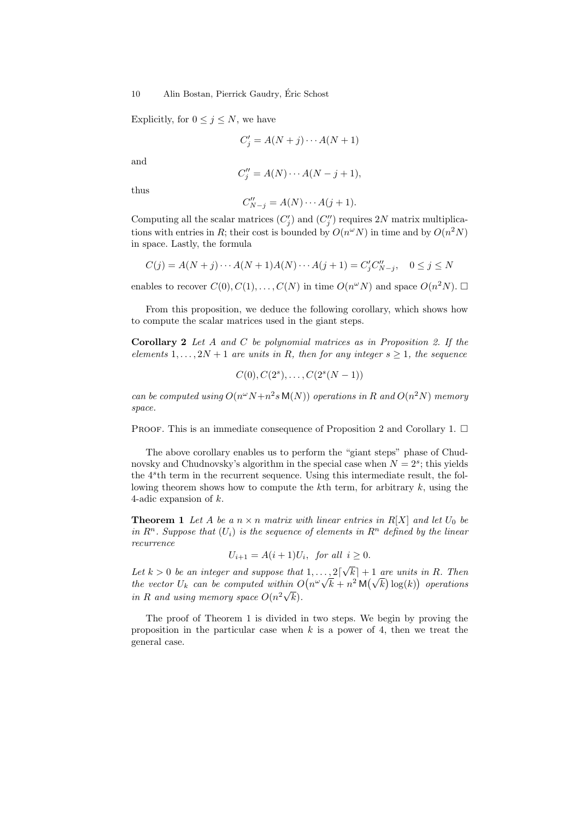Explicitly, for  $0 \leq j \leq N$ , we have

$$
C'_j = A(N+j)\cdots A(N+1)
$$

and

$$
C_j'' = A(N) \cdots A(N-j+1),
$$

thus

$$
C''_{N-j} = A(N) \cdots A(j+1).
$$

Computing all the scalar matrices  $(C'_j)$  and  $(C''_j)$  requires 2N matrix multiplications with entries in R; their cost is bounded by  $O(n^{\omega}N)$  in time and by  $O(n^2N)$ in space. Lastly, the formula

$$
C(j) = A(N + j) \cdots A(N + 1)A(N) \cdots A(j + 1) = C'_j C''_{N-j}, \quad 0 \le j \le N
$$

enables to recover  $C(0), C(1), \ldots, C(N)$  in time  $O(n^{\omega}N)$  and space  $O(n^2N)$ .  $\Box$ 

From this proposition, we deduce the following corollary, which shows how to compute the scalar matrices used in the giant steps.

**Corollary 2** Let A and C be polynomial matrices as in Proposition 2. If the elements  $1, \ldots, 2N + 1$  are units in R, then for any integer  $s \geq 1$ , the sequence

$$
C(0), C(2s), \ldots, C(2s(N-1))
$$

can be computed using  $O(n^{\omega}N+n^2s M(N))$  operations in R and  $O(n^2N)$  memory space.

PROOF. This is an immediate consequence of Proposition 2 and Corollary 1.  $\Box$ 

The above corollary enables us to perform the "giant steps" phase of Chudnovsky and Chudnovsky's algorithm in the special case when  $N = 2<sup>s</sup>$ ; this yields the 4<sup>s</sup>th term in the recurrent sequence. Using this intermediate result, the following theorem shows how to compute the  $k$ <sup>th</sup> term, for arbitrary  $k$ , using the 4-adic expansion of k.

**Theorem 1** Let A be a  $n \times n$  matrix with linear entries in R[X] and let  $U_0$  be in  $R^n$ . Suppose that  $(U_i)$  is the sequence of elements in  $R^n$  defined by the linear recurrence

$$
U_{i+1} = A(i+1)U_i, \text{ for all } i \ge 0.
$$

Let  $k > 0$  be an integer and suppose that  $1, \ldots, 2\lceil$  $\overline{k}$  + 1 are units in R. Then Let  $k > 0$  be an integer and suppose that  $1, \ldots$ <br>the vector  $U_k$  can be computed within  $O(n^{\omega}\sqrt{\frac{m}{n}})$ that  $1, ..., 2|\sqrt{k}| + 1$  are units in R. Then<br>  $\min_{\mathbf{A}} O(n^{\omega}\sqrt{k} + n^2 \mathbf{M}(\sqrt{k}) \log(k))$  operations in R and using memory space  $O(n^2\sqrt{k})$ .

The proof of Theorem 1 is divided in two steps. We begin by proving the proposition in the particular case when  $k$  is a power of 4, then we treat the general case.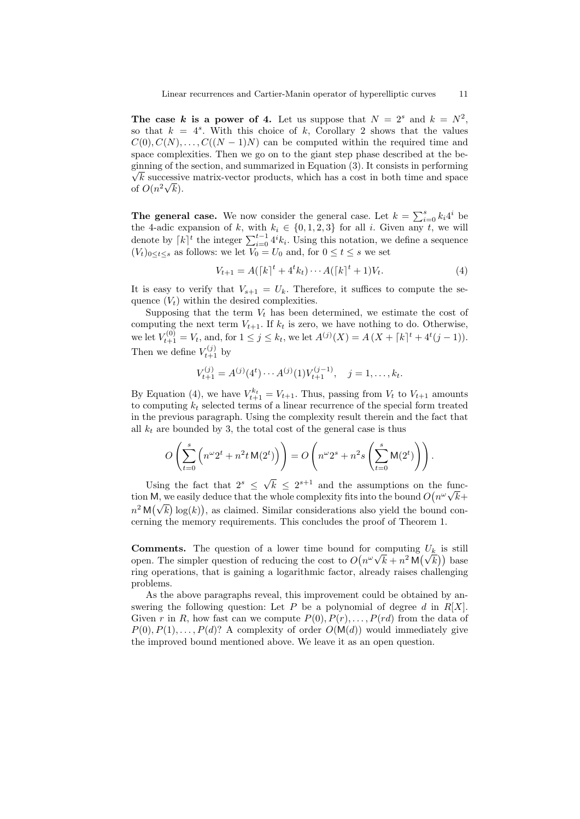The case k is a power of 4. Let us suppose that  $N = 2<sup>s</sup>$  and  $k = N<sup>2</sup>$ , so that  $k = 4<sup>s</sup>$ . With this choice of k, Corollary 2 shows that the values  $C(0), C(N), \ldots, C((N-1)N)$  can be computed within the required time and space complexities. Then we go on to the giant step phase described at the beginning of the section, and summarized in Equation (3). It consists in performing  $k$  successive matrix-vector products, which has a cost in both time and space of  $O(n^2\sqrt{k})$ .

**The general case.** We now consider the general case. Let  $k = \sum_{i=0}^{s} k_i 4^i$  be the 4-adic expansion of k, with  $k_i \in \{0, 1, 2, 3\}$  for all i. Given any t, we will denote by  $\lceil k \rceil^t$  the integer  $\sum_{i=0}^{t-1} 4^i k_i$ . Using this notation, we define a sequence  $(V_t)_{0 \leq t \leq s}$  as follows: we let  $\overline{V_0} = U_0$  and, for  $0 \leq t \leq s$  we set

$$
V_{t+1} = A([\kappa]^t + 4^t k_t) \cdots A([\kappa]^t + 1) V_t.
$$
 (4)

It is easy to verify that  $V_{s+1} = U_k$ . Therefore, it suffices to compute the sequence  $(V_t)$  within the desired complexities.

Supposing that the term  $V_t$  has been determined, we estimate the cost of computing the next term  $V_{t+1}$ . If  $k_t$  is zero, we have nothing to do. Otherwise, we let  $V_{t+1}^{(0)} = V_t$ , and, for  $1 \leq j \leq k_t$ , we let  $A^{(j)}(X) = A(X + \lceil k \rceil^t + 4^t(j-1)).$ Then we define  $V_{t+1}^{(j)}$  by

$$
V_{t+1}^{(j)} = A^{(j)}(4^t) \cdots A^{(j)}(1) V_{t+1}^{(j-1)}, \quad j = 1, \ldots, k_t.
$$

By Equation (4), we have  $V_{t+1}^{k_t} = V_{t+1}$ . Thus, passing from  $V_t$  to  $V_{t+1}$  amounts to computing  $k_t$  selected terms of a linear recurrence of the special form treated in the previous paragraph. Using the complexity result therein and the fact that all  $k_t$  are bounded by 3, the total cost of the general case is thus

$$
O\left(\sum_{t=0}^s \left(n^\omega 2^t + n^2 t \mathsf{M}(2^t)\right)\right) = O\left(n^\omega 2^s + n^2 s \left(\sum_{t=0}^s \mathsf{M}(2^t)\right)\right).
$$

Using the fact that  $2^s \leq$  $\overline{k} \leq 2^{s+1}$  and the assumptions on the function M, we easily deduce that the whole complexity fits into the bound  $O(n^{\omega}\sqrt{k}+1)$ tion M, we easily deduce that the whole complexity fits into the bound  $O(n^{\infty} \sqrt{k})$ <br> $n^2 \mathsf{M}(\sqrt{k}) \log(k)$ , as claimed. Similar considerations also yield the bound concerning the memory requirements. This concludes the proof of Theorem 1.

**Comments.** The question of a lower time bound for computing  $U_k$  is still **Comments.** The question of a lower time bound for computing  $U_k$  is still open. The simpler question of reducing the cost to  $O(n^{\omega}\sqrt{k}+n^2M(\sqrt{k}))$  base ring operations, that is gaining a logarithmic factor, already raises challenging problems.

As the above paragraphs reveal, this improvement could be obtained by answering the following question: Let P be a polynomial of degree d in  $R[X]$ . Given r in R, how fast can we compute  $P(0), P(r), \ldots, P(rd)$  from the data of  $P(0), P(1), \ldots, P(d)$ ? A complexity of order  $O(M(d))$  would immediately give the improved bound mentioned above. We leave it as an open question.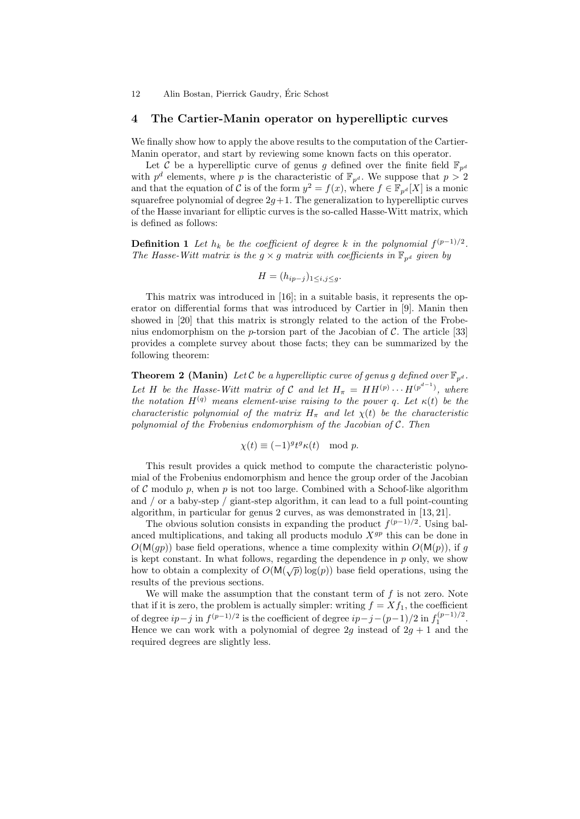#### 4 The Cartier-Manin operator on hyperelliptic curves

We finally show how to apply the above results to the computation of the Cartier-Manin operator, and start by reviewing some known facts on this operator.

Let C be a hyperelliptic curve of genus g defined over the finite field  $\mathbb{F}_{p^d}$ with  $p^d$  elements, where p is the characteristic of  $\mathbb{F}_{p^d}$ . We suppose that  $p > 2$ and that the equation of C is of the form  $y^2 = f(x)$ , where  $f \in \mathbb{F}_{p^d}[X]$  is a monic squarefree polynomial of degree  $2g+1$ . The generalization to hyperelliptic curves of the Hasse invariant for elliptic curves is the so-called Hasse-Witt matrix, which is defined as follows:

**Definition 1** Let  $h_k$  be the coefficient of degree k in the polynomial  $f^{(p-1)/2}$ . The Hasse-Witt matrix is the  $g \times g$  matrix with coefficients in  $\mathbb{F}_{p^d}$  given by

$$
H = (h_{ip-j})_{1 \le i,j \le g}.
$$

This matrix was introduced in [16]; in a suitable basis, it represents the operator on differential forms that was introduced by Cartier in [9]. Manin then showed in [20] that this matrix is strongly related to the action of the Frobenius endomorphism on the p-torsion part of the Jacobian of C. The article [33] provides a complete survey about those facts; they can be summarized by the following theorem:

**Theorem 2 (Manin)** Let C be a hyperelliptic curve of genus g defined over  $\mathbb{F}_{p^d}$ . Let H be the Hasse-Witt matrix of C and let  $H_{\pi} = HH^{(p)} \cdots H^{(p^{d-1})}$ , where the notation  $H^{(q)}$  means element-wise raising to the power q. Let  $\kappa(t)$  be the characteristic polynomial of the matrix  $H_{\pi}$  and let  $\chi(t)$  be the characteristic polynomial of the Frobenius endomorphism of the Jacobian of C. Then

$$
\chi(t) \equiv (-1)^g t^g \kappa(t) \mod p.
$$

This result provides a quick method to compute the characteristic polynomial of the Frobenius endomorphism and hence the group order of the Jacobian of  $\mathcal C$  modulo  $p$ , when  $p$  is not too large. Combined with a Schoof-like algorithm and / or a baby-step / giant-step algorithm, it can lead to a full point-counting algorithm, in particular for genus 2 curves, as was demonstrated in [13, 21].

The obvious solution consists in expanding the product  $f^{(p-1)/2}$ . Using balanced multiplications, and taking all products modulo  $X^{gp}$  this can be done in  $O(M(qp))$  base field operations, whence a time complexity within  $O(M(p))$ , if g is kept constant. In what follows, regarding the dependence in  $p$  only, we show is kept constant. In what follows, regarding the dependence in p only, we show<br>how to obtain a complexity of  $O(M(\sqrt{p}) \log(p))$  base field operations, using the results of the previous sections.

We will make the assumption that the constant term of  $f$  is not zero. Note that if it is zero, the problem is actually simpler: writing  $f = Xf_1$ , the coefficient of degree  $ip - j$  in  $f^{(p-1)/2}$  is the coefficient of degree  $ip - j - (p-1)/2$  in  $f_1^{(p-1)/2}$ . Hence we can work with a polynomial of degree  $2q$  instead of  $2q + 1$  and the required degrees are slightly less.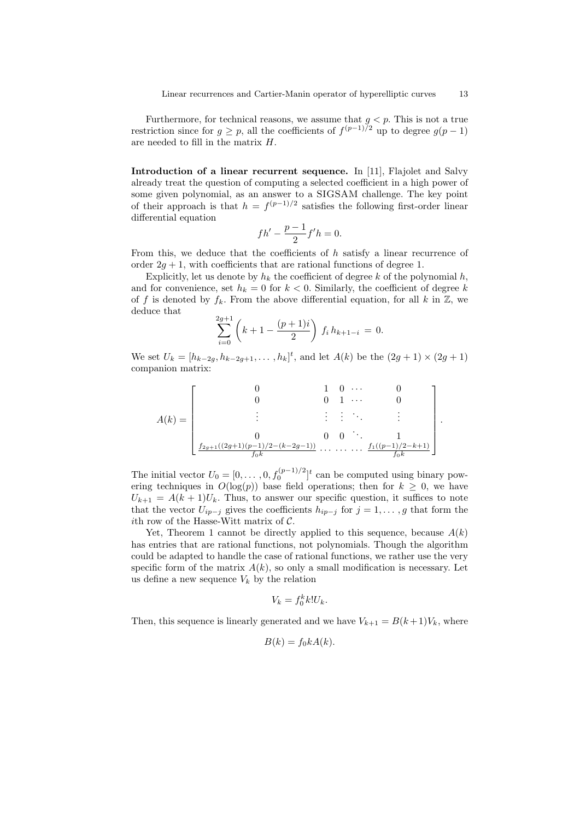Furthermore, for technical reasons, we assume that  $q < p$ . This is not a true restriction since for  $g \geq p$ , all the coefficients of  $f^{(p-1)/2}$  up to degree  $g(p-1)$ are needed to fill in the matrix  $H$ .

Introduction of a linear recurrent sequence. In [11], Flajolet and Salvy already treat the question of computing a selected coefficient in a high power of some given polynomial, as an answer to a SIGSAM challenge. The key point of their approach is that  $h = f^{(p-1)/2}$  satisfies the following first-order linear differential equation

$$
fh' - \frac{p-1}{2}f'h = 0.
$$

From this, we deduce that the coefficients of  $h$  satisfy a linear recurrence of order  $2q + 1$ , with coefficients that are rational functions of degree 1.

Explicitly, let us denote by  $h_k$  the coefficient of degree k of the polynomial  $h$ , and for convenience, set  $h_k = 0$  for  $k < 0$ . Similarly, the coefficient of degree k of f is denoted by  $f_k$ . From the above differential equation, for all k in  $\mathbb{Z}$ , we deduce that

$$
\sum_{i=0}^{2g+1} \left( k + 1 - \frac{(p+1)i}{2} \right) f_i h_{k+1-i} = 0.
$$

We set  $U_k = [h_{k-2g}, h_{k-2g+1}, \dots, h_k]^t$ , and let  $A(k)$  be the  $(2g+1) \times (2g+1)$ companion matrix:

$$
A(k) = \begin{bmatrix} 0 & 1 & 0 & \cdots & 0 \\ 0 & 0 & 1 & \cdots & 0 \\ \vdots & \vdots & \vdots & \ddots & \vdots \\ 0 & 0 & 0 & \ddots & 1 \\ \frac{f_{2g+1}((2g+1)(p-1)/2-(k-2g-1))}{f_0k} & \cdots & \cdots & \frac{f_1((p-1)/2-k+1)}{f_0k} \end{bmatrix}.
$$

The initial vector  $U_0 = [0, \ldots, 0, f_0^{(p-1)/2}]^t$  can be computed using binary powering techniques in  $O(log(p))$  base field operations; then for  $k \geq 0$ , we have  $U_{k+1} = A(k+1)U_k$ . Thus, to answer our specific question, it suffices to note that the vector  $U_{ip-j}$  gives the coefficients  $h_{ip-j}$  for  $j = 1, \ldots, g$  that form the ith row of the Hasse-Witt matrix of  $\mathcal{C}$ .

Yet, Theorem 1 cannot be directly applied to this sequence, because  $A(k)$ has entries that are rational functions, not polynomials. Though the algorithm could be adapted to handle the case of rational functions, we rather use the very specific form of the matrix  $A(k)$ , so only a small modification is necessary. Let us define a new sequence  $V_k$  by the relation

$$
V_k = f_0^k k! U_k.
$$

Then, this sequence is linearly generated and we have  $V_{k+1} = B(k+1)V_k$ , where

$$
B(k) = f_0 k A(k).
$$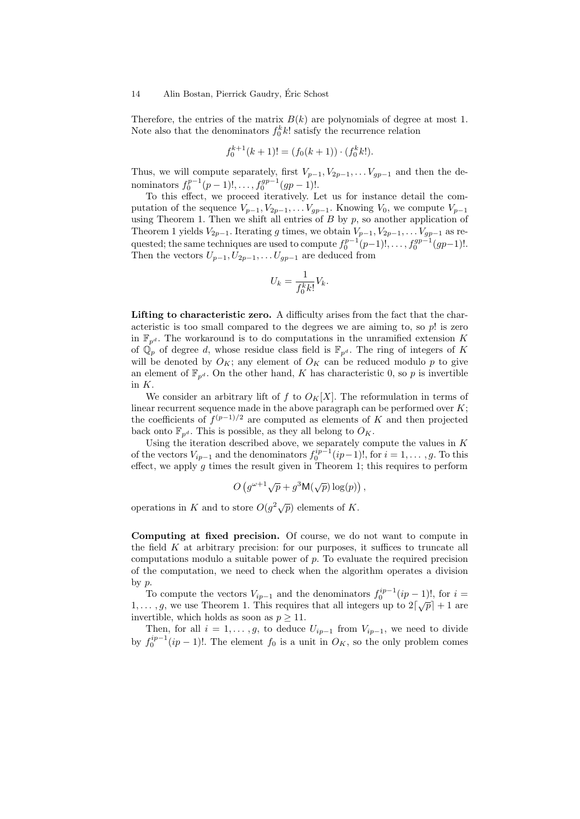Therefore, the entries of the matrix  $B(k)$  are polynomials of degree at most 1. Note also that the denominators  $f_0^k k!$  satisfy the recurrence relation

$$
f_0^{k+1}(k+1)! = (f_0(k+1)) \cdot (f_0^k k!).
$$

Thus, we will compute separately, first  $V_{p-1}, V_{2p-1}, \ldots V_{gp-1}$  and then the denominators  $f_0^{p-1}(p-1)!, \ldots, f_0^{gp-1}(gp-1)!$ .

To this effect, we proceed iteratively. Let us for instance detail the computation of the sequence  $V_{p-1}, V_{2p-1}, \ldots V_{gp-1}$ . Knowing  $V_0$ , we compute  $V_{p-1}$ using Theorem 1. Then we shift all entries of  $B$  by  $p$ , so another application of Theorem 1 yields  $V_{2p-1}$ . Iterating g times, we obtain  $V_{p-1}, V_{2p-1}, \ldots V_{gp-1}$  as requested; the same techniques are used to compute  $f_0^{p-1}(p-1)$ , ...,  $f_0^{gp-1}(gp-1)$ !. Then the vectors  $U_{p-1}, U_{2p-1}, \ldots, U_{gp-1}$  are deduced from

$$
U_k = \frac{1}{f_0^k k!} V_k.
$$

Lifting to characteristic zero. A difficulty arises from the fact that the characteristic is too small compared to the degrees we are aiming to, so  $p!$  is zero in  $\mathbb{F}_{p^d}$ . The workaround is to do computations in the unramified extension K of  $\dot{\mathbb{Q}}_p$  of degree d, whose residue class field is  $\mathbb{F}_{p^d}$ . The ring of integers of K will be denoted by  $O_K$ ; any element of  $O_K$  can be reduced modulo p to give an element of  $\mathbb{F}_{p^d}$ . On the other hand, K has characteristic 0, so p is invertible in K.

We consider an arbitrary lift of f to  $O_K[X]$ . The reformulation in terms of linear recurrent sequence made in the above paragraph can be performed over  $K$ ; the coefficients of  $f^{(p-1)/2}$  are computed as elements of K and then projected back onto  $\mathbb{F}_{p^d}$ . This is possible, as they all belong to  $O_K$ .

Using the iteration described above, we separately compute the values in K of the vectors  $V_{ip-1}$  and the denominators  $f_0^{ip-1}(ip-1)!$ , for  $i = 1, ..., g$ . To this effect, we apply  $g$  times the result given in Theorem 1; this requires to perform

$$
O\left(g^{\omega+1}\sqrt{p} + g^3 \mathsf{M}(\sqrt{p})\log(p)\right),\,
$$

operations in K and to store  $O(g^2 \sqrt{p})$  elements of K.

Computing at fixed precision. Of course, we do not want to compute in the field  $K$  at arbitrary precision: for our purposes, it suffices to truncate all computations modulo a suitable power of  $p$ . To evaluate the required precision of the computation, we need to check when the algorithm operates a division by p.

To compute the vectors  $V_{ip-1}$  and the denominators  $f_0^{ip-1}(ip-1)!$ , for  $i=$ 10 compute the vectors  $v_{ip-1}$  and the denominators  $J_0^{\alpha}$  ( $ip-1$ ); for  $i=1,\ldots,g$ , we use Theorem 1. This requires that all integers up to  $2\lceil\sqrt{p}\rceil+1$  are invertible, which holds as soon as  $p \geq 11$ .

Then, for all  $i = 1, \ldots, g$ , to deduce  $U_{ip-1}$  from  $V_{ip-1}$ , we need to divide by  $f_0^{ip-1}(ip-1)!$ . The element  $f_0$  is a unit in  $O_K$ , so the only problem comes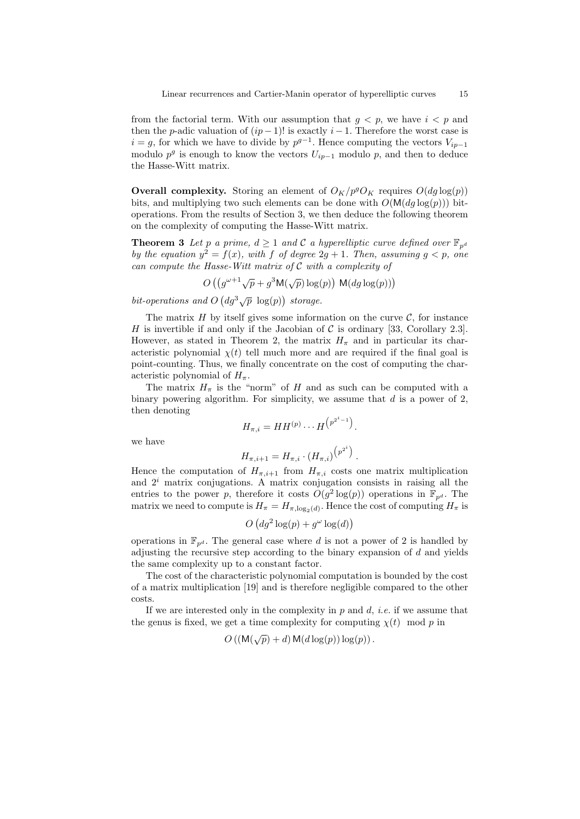from the factorial term. With our assumption that  $q < p$ , we have  $i < p$  and then the p-adic valuation of  $(ip - 1)!$  is exactly  $i - 1$ . Therefore the worst case is  $i = g$ , for which we have to divide by  $p^{g-1}$ . Hence computing the vectors  $V_{ip-1}$ modulo  $p^g$  is enough to know the vectors  $U_{ip-1}$  modulo p, and then to deduce the Hasse-Witt matrix.

**Overall complexity.** Storing an element of  $O_K/p^gO_K$  requires  $O(dg \log(p))$ bits, and multiplying two such elements can be done with  $O(M(dg \log(p)))$  bitoperations. From the results of Section 3, we then deduce the following theorem on the complexity of computing the Hasse-Witt matrix.

**Theorem 3** Let p a prime,  $d \geq 1$  and C a hyperelliptic curve defined over  $\mathbb{F}_{p^d}$ by the equation  $y^2 = f(x)$ , with f of degree  $2g + 1$ . Then, assuming  $g < p$ , one can compute the Hasse-Witt matrix of  $C$  with a complexity of

$$
O\left(\left(g^{\omega+1}\sqrt{p} + g^3 \mathsf{M}(\sqrt{p})\log(p)\right) \mathsf{M}(dg\log(p))\right)
$$

bit-operations and  $O(dg^3\sqrt{p} \log(p))$  storage.

The matrix  $H$  by itself gives some information on the curve  $C$ , for instance H is invertible if and only if the Jacobian of  $\mathcal C$  is ordinary [33, Corollary 2.3]. However, as stated in Theorem 2, the matrix  $H_{\pi}$  and in particular its characteristic polynomial  $\chi(t)$  tell much more and are required if the final goal is point-counting. Thus, we finally concentrate on the cost of computing the characteristic polynomial of  $H_{\pi}$ .

The matrix  $H_{\pi}$  is the "norm" of H and as such can be computed with a binary powering algorithm. For simplicity, we assume that  $d$  is a power of 2, then denoting

$$
H_{\pi,i} = HH^{(p)} \cdots H^{(p^{2^{i}-1})}.
$$
  

$$
H_{\pi,i+1} = H_{\pi,i} \cdot (H_{\pi,i})^{(p^{2^{i}})}.
$$

we have

Hence the computation of 
$$
H_{\pi,i+1}
$$
 from  $H_{\pi,i}$  costs one matrix multiplication  
and  $2^i$  matrix conjugations. A matrix conjugation consists in raising all the  
entries to the power *p*, therefore it costs  $O(g^2 \log(p))$  operations in  $\mathbb{F}_{p^d}$ . The  
matrix we need to compute is  $H_{\pi} = H_{\pi,\log_2(d)}$ . Hence the cost of computing  $H_{\pi}$  is

$$
O\left(dg^2\log(p) + g^{\omega}\log(d)\right)
$$

operations in  $\mathbb{F}_{p^d}$ . The general case where d is not a power of 2 is handled by adjusting the recursive step according to the binary expansion of  $d$  and yields the same complexity up to a constant factor.

The cost of the characteristic polynomial computation is bounded by the cost of a matrix multiplication [19] and is therefore negligible compared to the other costs.

If we are interested only in the complexity in  $p$  and  $d$ , *i.e.* if we assume that the genus is fixed, we get a time complexity for computing  $\chi(t)$  mod p in

$$
O\left(\left(\mathsf{M}(\sqrt{p})+d\right)\mathsf{M}(d\log(p))\log(p)\right).
$$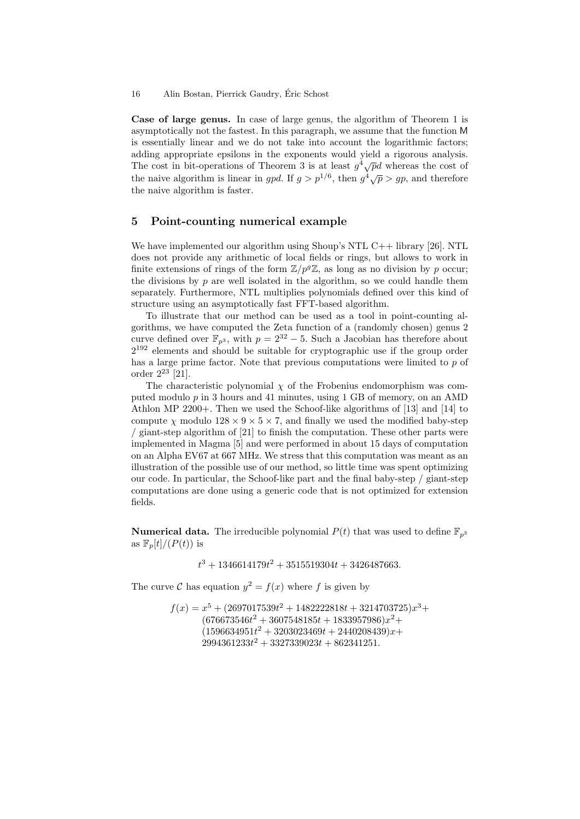Case of large genus. In case of large genus, the algorithm of Theorem 1 is asymptotically not the fastest. In this paragraph, we assume that the function M is essentially linear and we do not take into account the logarithmic factors; adding appropriate epsilons in the exponents would yield a rigorous analysis. adding appropriate epsilons in the exponents would yield a rigorous analysis.<br>The cost in bit-operations of Theorem 3 is at least  $g^4\sqrt{p}d$  whereas the cost of The cost in on-operations of Theorem 3 is at least  $g \sqrt{\rho}a$  whereas the cost of the naive algorithm is linear in gpd. If  $g > p^{1/6}$ , then  $g^4 \sqrt{p} > gp$ , and therefore the naive algorithm is faster.

### 5 Point-counting numerical example

We have implemented our algorithm using Shoup's NTL C++ library [26]. NTL does not provide any arithmetic of local fields or rings, but allows to work in finite extensions of rings of the form  $\mathbb{Z}/p^g\mathbb{Z}$ , as long as no division by p occur; the divisions by  $p$  are well isolated in the algorithm, so we could handle them separately. Furthermore, NTL multiplies polynomials defined over this kind of structure using an asymptotically fast FFT-based algorithm.

To illustrate that our method can be used as a tool in point-counting algorithms, we have computed the Zeta function of a (randomly chosen) genus 2 curve defined over  $\mathbb{F}_{p^3}$ , with  $p = 2^{32} - 5$ . Such a Jacobian has therefore about 2 <sup>192</sup> elements and should be suitable for cryptographic use if the group order has a large prime factor. Note that previous computations were limited to p of order 2<sup>23</sup> [21].

The characteristic polynomial  $\chi$  of the Frobenius endomorphism was computed modulo  $p$  in 3 hours and 41 minutes, using 1 GB of memory, on an AMD Athlon MP 2200+. Then we used the Schoof-like algorithms of [13] and [14] to compute  $\chi$  modulo  $128 \times 9 \times 5 \times 7$ , and finally we used the modified baby-step / giant-step algorithm of [21] to finish the computation. These other parts were implemented in Magma [5] and were performed in about 15 days of computation on an Alpha EV67 at 667 MHz. We stress that this computation was meant as an illustration of the possible use of our method, so little time was spent optimizing our code. In particular, the Schoof-like part and the final baby-step / giant-step computations are done using a generic code that is not optimized for extension fields.

**Numerical data.** The irreducible polynomial  $P(t)$  that was used to define  $\mathbb{F}_{n^3}$ as  $\mathbb{F}_p[t]/(P(t))$  is

 $t^3 + 1346614179t^2 + 3515519304t + 3426487663.$ 

The curve C has equation  $y^2 = f(x)$  where f is given by

$$
f(x) = x^5 + (2697017539t^2 + 1482222818t + 3214703725)x^3 + (676673546t^2 + 3607548185t + 1833957986)x^2 + (1596634951t^2 + 3203023469t + 2440208439)x + 2994361233t^2 + 3327339023t + 862341251.
$$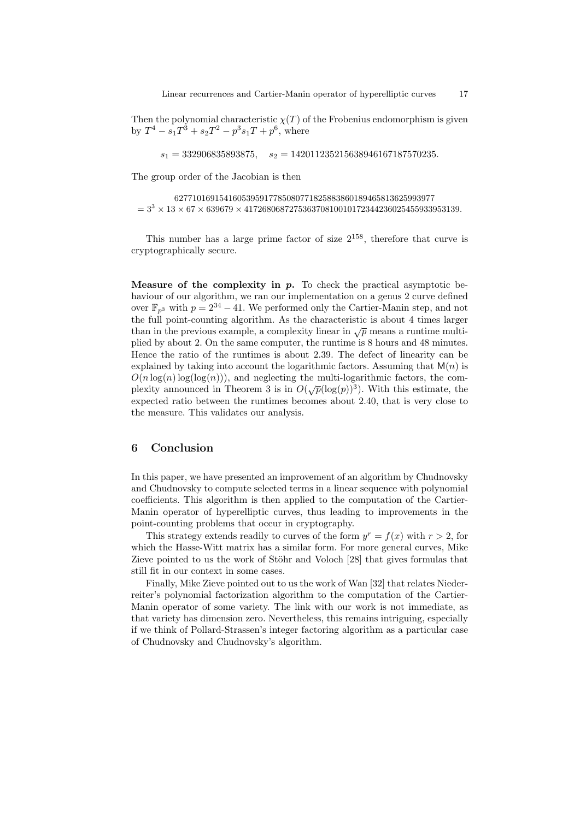Then the polynomial characteristic  $\chi(T)$  of the Frobenius endomorphism is given by  $T^4 - s_1T^3 + s_2T^2 - p^3s_1T + p^6$ , where

 $s_1=332906835893875, \quad s_2=142011235215638946167187570235.$ 

The group order of the Jacobian is then

6277101691541605395917785080771825883860189465813625993977  $= 3<sup>3</sup> \times 13 \times 67 \times 639679 \times 417268068727536370810010172344236025455933953139.$ 

This number has a large prime factor of size  $2^{158}$ , therefore that curve is cryptographically secure.

**Measure of the complexity in**  $p$ **.** To check the practical asymptotic behaviour of our algorithm, we ran our implementation on a genus 2 curve defined over  $\mathbb{F}_{p^3}$  with  $p = 2^{34} - 41$ . We performed only the Cartier-Manin step, and not the full point-counting algorithm. As the characteristic is about 4 times larger than in the previous example, a complexity linear in  $\sqrt{p}$  means a runtime multiplied by about 2. On the same computer, the runtime is 8 hours and 48 minutes. Hence the ratio of the runtimes is about 2.39. The defect of linearity can be explained by taking into account the logarithmic factors. Assuming that  $M(n)$  is  $O(n \log(n) \log(\log(n)))$ , and neglecting the multi-logarithmic factors, the com- $O(n \log(n) \log(\log(n)))$ , and neglecting the multi-logarithmic factors, the com-<br>plexity announced in Theorem 3 is in  $O(\sqrt{p}(\log(p))^3)$ . With this estimate, the expected ratio between the runtimes becomes about 2.40, that is very close to the measure. This validates our analysis.

### 6 Conclusion

In this paper, we have presented an improvement of an algorithm by Chudnovsky and Chudnovsky to compute selected terms in a linear sequence with polynomial coefficients. This algorithm is then applied to the computation of the Cartier-Manin operator of hyperelliptic curves, thus leading to improvements in the point-counting problems that occur in cryptography.

This strategy extends readily to curves of the form  $y^r = f(x)$  with  $r > 2$ , for which the Hasse-Witt matrix has a similar form. For more general curves, Mike Zieve pointed to us the work of Stöhr and Voloch [28] that gives formulas that still fit in our context in some cases.

Finally, Mike Zieve pointed out to us the work of Wan [32] that relates Niederreiter's polynomial factorization algorithm to the computation of the Cartier-Manin operator of some variety. The link with our work is not immediate, as that variety has dimension zero. Nevertheless, this remains intriguing, especially if we think of Pollard-Strassen's integer factoring algorithm as a particular case of Chudnovsky and Chudnovsky's algorithm.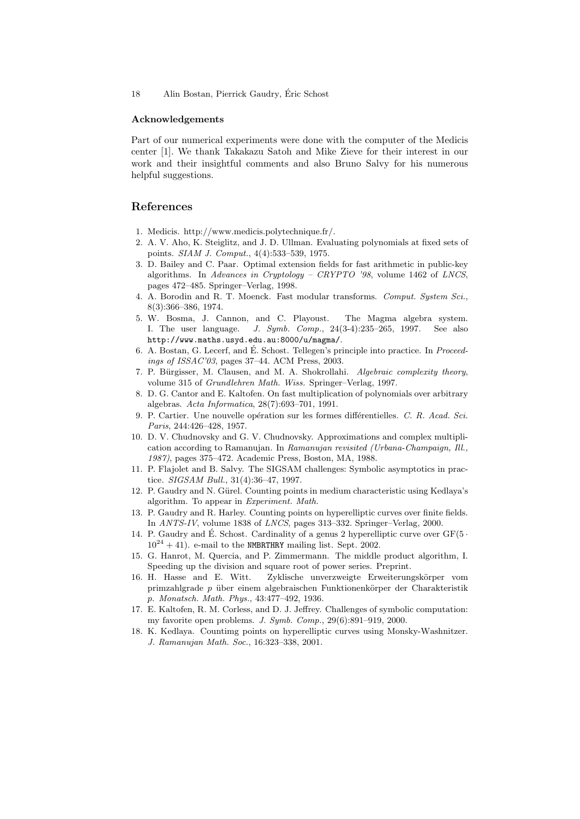#### Acknowledgements

Part of our numerical experiments were done with the computer of the Medicis center [1]. We thank Takakazu Satoh and Mike Zieve for their interest in our work and their insightful comments and also Bruno Salvy for his numerous helpful suggestions.

## References

- 1. Medicis. http://www.medicis.polytechnique.fr/.
- 2. A. V. Aho, K. Steiglitz, and J. D. Ullman. Evaluating polynomials at fixed sets of points. SIAM J. Comput., 4(4):533–539, 1975.
- 3. D. Bailey and C. Paar. Optimal extension fields for fast arithmetic in public-key algorithms. In Advances in Cryptology – CRYPTO '98, volume 1462 of LNCS, pages 472–485. Springer–Verlag, 1998.
- 4. A. Borodin and R. T. Moenck. Fast modular transforms. Comput. System Sci., 8(3):366–386, 1974.
- 5. W. Bosma, J. Cannon, and C. Playoust. The Magma algebra system. I. The user language. J. Symb. Comp., 24(3-4):235–265, 1997. See also http://www.maths.usyd.edu.au:8000/u/magma/.
- 6. A. Bostan, G. Lecerf, and  $\acute{E}$ . Schost. Tellegen's principle into practice. In *Proceed*ings of ISSAC'03, pages 37–44. ACM Press, 2003.
- 7. P. Bürgisser, M. Clausen, and M. A. Shokrollahi. Algebraic complexity theory, volume 315 of Grundlehren Math. Wiss. Springer–Verlag, 1997.
- 8. D. G. Cantor and E. Kaltofen. On fast multiplication of polynomials over arbitrary algebras. Acta Informatica, 28(7):693–701, 1991.
- 9. P. Cartier. Une nouvelle opération sur les formes différentielles. C. R. Acad. Sci. Paris, 244:426–428, 1957.
- 10. D. V. Chudnovsky and G. V. Chudnovsky. Approximations and complex multiplication according to Ramanujan. In Ramanujan revisited (Urbana-Champaign, Ill., 1987), pages 375–472. Academic Press, Boston, MA, 1988.
- 11. P. Flajolet and B. Salvy. The SIGSAM challenges: Symbolic asymptotics in practice. SIGSAM Bull., 31(4):36–47, 1997.
- 12. P. Gaudry and N. Gürel. Counting points in medium characteristic using Kedlaya's algorithm. To appear in Experiment. Math.
- 13. P. Gaudry and R. Harley. Counting points on hyperelliptic curves over finite fields. In ANTS-IV, volume 1838 of LNCS, pages 313–332. Springer–Verlag, 2000.
- 14. P. Gaudry and E. Schost. Cardinality of a genus 2 hyperelliptic curve over  $GF(5 \cdot )$  $10^{24} + 41$ ). e-mail to the NMBRTHRY mailing list. Sept. 2002.
- 15. G. Hanrot, M. Quercia, and P. Zimmermann. The middle product algorithm, I. Speeding up the division and square root of power series. Preprint.
- 16. H. Hasse and E. Witt. Zyklische unverzweigte Erweiterungskörper vom primzahlgrade  $p$  über einem algebraischen Funktionenkörper der Charakteristik p. Monatsch. Math. Phys., 43:477–492, 1936.
- 17. E. Kaltofen, R. M. Corless, and D. J. Jeffrey. Challenges of symbolic computation: my favorite open problems. J. Symb. Comp., 29(6):891–919, 2000.
- 18. K. Kedlaya. Countimg points on hyperelliptic curves using Monsky-Washnitzer. J. Ramanujan Math. Soc., 16:323–338, 2001.